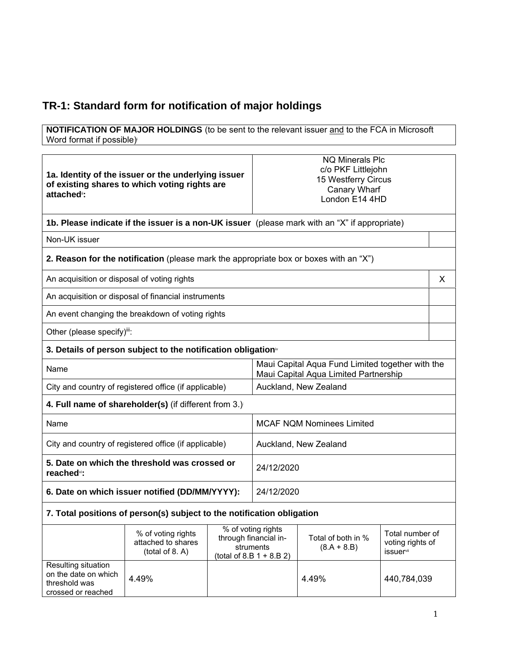# **TR-1: Standard form for notification of major holdings**

**NOTIFICATION OF MAJOR HOLDINGS** (to be sent to the relevant issuer and to the FCA in Microsoft Word format if possible)

| 1a. Identity of the issuer or the underlying issuer<br>of existing shares to which voting rights are<br>attached <sup>®</sup> : |                                                                                               | <b>NQ Minerals Plc</b><br>c/o PKF Littlejohn<br>15 Westferry Circus<br>Canary Wharf<br>London E14 4HD |                                                                                                       |                                                                                           |                                                  |   |
|---------------------------------------------------------------------------------------------------------------------------------|-----------------------------------------------------------------------------------------------|-------------------------------------------------------------------------------------------------------|-------------------------------------------------------------------------------------------------------|-------------------------------------------------------------------------------------------|--------------------------------------------------|---|
|                                                                                                                                 | 1b. Please indicate if the issuer is a non-UK issuer (please mark with an "X" if appropriate) |                                                                                                       |                                                                                                       |                                                                                           |                                                  |   |
| Non-UK issuer                                                                                                                   |                                                                                               |                                                                                                       |                                                                                                       |                                                                                           |                                                  |   |
|                                                                                                                                 | 2. Reason for the notification (please mark the appropriate box or boxes with an "X")         |                                                                                                       |                                                                                                       |                                                                                           |                                                  |   |
| An acquisition or disposal of voting rights                                                                                     |                                                                                               |                                                                                                       |                                                                                                       |                                                                                           |                                                  | X |
|                                                                                                                                 | An acquisition or disposal of financial instruments                                           |                                                                                                       |                                                                                                       |                                                                                           |                                                  |   |
|                                                                                                                                 | An event changing the breakdown of voting rights                                              |                                                                                                       |                                                                                                       |                                                                                           |                                                  |   |
| Other (please specify)ii:                                                                                                       |                                                                                               |                                                                                                       |                                                                                                       |                                                                                           |                                                  |   |
|                                                                                                                                 | 3. Details of person subject to the notification obligation <sup>®</sup>                      |                                                                                                       |                                                                                                       |                                                                                           |                                                  |   |
| Name                                                                                                                            |                                                                                               |                                                                                                       |                                                                                                       | Maui Capital Aqua Fund Limited together with the<br>Maui Capital Aqua Limited Partnership |                                                  |   |
| City and country of registered office (if applicable)                                                                           |                                                                                               |                                                                                                       |                                                                                                       | Auckland, New Zealand                                                                     |                                                  |   |
|                                                                                                                                 | 4. Full name of shareholder(s) (if different from 3.)                                         |                                                                                                       |                                                                                                       |                                                                                           |                                                  |   |
| Name                                                                                                                            |                                                                                               |                                                                                                       |                                                                                                       | <b>MCAF NQM Nominees Limited</b>                                                          |                                                  |   |
| City and country of registered office (if applicable)                                                                           |                                                                                               |                                                                                                       | Auckland, New Zealand                                                                                 |                                                                                           |                                                  |   |
| 5. Date on which the threshold was crossed or<br>reached <sup>v</sup> :                                                         |                                                                                               |                                                                                                       | 24/12/2020                                                                                            |                                                                                           |                                                  |   |
| 6. Date on which issuer notified (DD/MM/YYYY):                                                                                  |                                                                                               | 24/12/2020                                                                                            |                                                                                                       |                                                                                           |                                                  |   |
|                                                                                                                                 | 7. Total positions of person(s) subject to the notification obligation                        |                                                                                                       |                                                                                                       |                                                                                           |                                                  |   |
|                                                                                                                                 | % of voting rights<br>attached to shares<br>(total of 8. A)                                   |                                                                                                       | $\overline{\%}$ of voting rights<br>through financial in-<br>struments<br>(total of 8.B $1 + 8.B 2$ ) | Total of both in %<br>$(8.A + 8.B)$                                                       | Total number of<br>voting rights of<br>issuervii |   |
| Resulting situation<br>on the date on which<br>threshold was<br>crossed or reached                                              | 4.49%                                                                                         |                                                                                                       |                                                                                                       | 4.49%                                                                                     | 440,784,039                                      |   |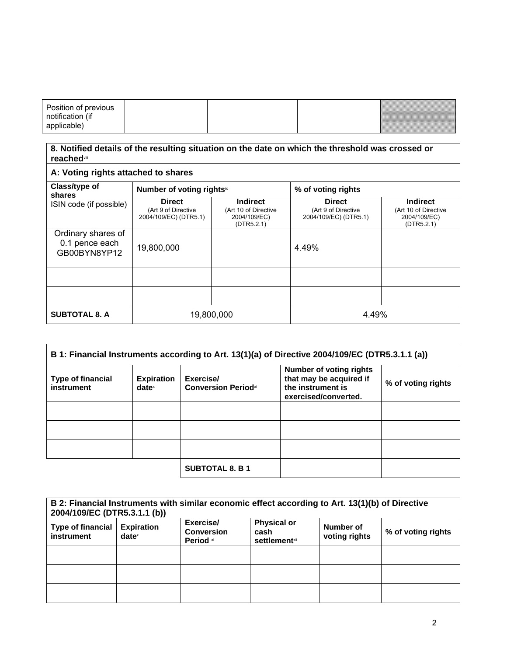| Position of previous |  |  |
|----------------------|--|--|
| notification (if     |  |  |
| applicable)          |  |  |

### **8. Notified details of the resulting situation on the date on which the threshold was crossed or reached**viii

## **A: Voting rights attached to shares**

| Class/type of<br>shares                              | Number of voting rights <sup>ix</sup>                         |                                                                       | % of voting rights                                            |                                                                       |
|------------------------------------------------------|---------------------------------------------------------------|-----------------------------------------------------------------------|---------------------------------------------------------------|-----------------------------------------------------------------------|
| ISIN code (if possible)                              | <b>Direct</b><br>(Art 9 of Directive<br>2004/109/EC) (DTR5.1) | <b>Indirect</b><br>(Art 10 of Directive<br>2004/109/EC)<br>(DTR5.2.1) | <b>Direct</b><br>(Art 9 of Directive<br>2004/109/EC) (DTR5.1) | <b>Indirect</b><br>(Art 10 of Directive<br>2004/109/EC)<br>(DTR5.2.1) |
| Ordinary shares of<br>0.1 pence each<br>GB00BYN8YP12 | 19,800,000                                                    |                                                                       | 4.49%                                                         |                                                                       |
|                                                      |                                                               |                                                                       |                                                               |                                                                       |
|                                                      |                                                               |                                                                       |                                                               |                                                                       |
| <b>SUBTOTAL 8. A</b>                                 |                                                               | 19,800,000                                                            | 4.49%                                                         |                                                                       |

| B 1: Financial Instruments according to Art. 13(1)(a) of Directive 2004/109/EC (DTR5.3.1.1 (a)) |                                        |                                         |                                                                                                        |                    |
|-------------------------------------------------------------------------------------------------|----------------------------------------|-----------------------------------------|--------------------------------------------------------------------------------------------------------|--------------------|
| <b>Type of financial</b><br>instrument                                                          | <b>Expiration</b><br>date <sup>x</sup> | Exercise/<br><b>Conversion Periodxi</b> | <b>Number of voting rights</b><br>that may be acquired if<br>the instrument is<br>exercised/converted. | % of voting rights |
|                                                                                                 |                                        |                                         |                                                                                                        |                    |
|                                                                                                 |                                        |                                         |                                                                                                        |                    |
|                                                                                                 |                                        |                                         |                                                                                                        |                    |
|                                                                                                 |                                        | <b>SUBTOTAL 8. B 1</b>                  |                                                                                                        |                    |

| B 2: Financial Instruments with similar economic effect according to Art. 13(1)(b) of Directive<br>2004/109/EC (DTR5.3.1.1 (b)) |                                        |                                             |                                                     |                            |                    |
|---------------------------------------------------------------------------------------------------------------------------------|----------------------------------------|---------------------------------------------|-----------------------------------------------------|----------------------------|--------------------|
| Type of financial<br>instrument                                                                                                 | <b>Expiration</b><br>date <sup>x</sup> | Exercise/<br><b>Conversion</b><br>Period xi | <b>Physical or</b><br>cash<br><b>settlement</b> xii | Number of<br>voting rights | % of voting rights |
|                                                                                                                                 |                                        |                                             |                                                     |                            |                    |
|                                                                                                                                 |                                        |                                             |                                                     |                            |                    |
|                                                                                                                                 |                                        |                                             |                                                     |                            |                    |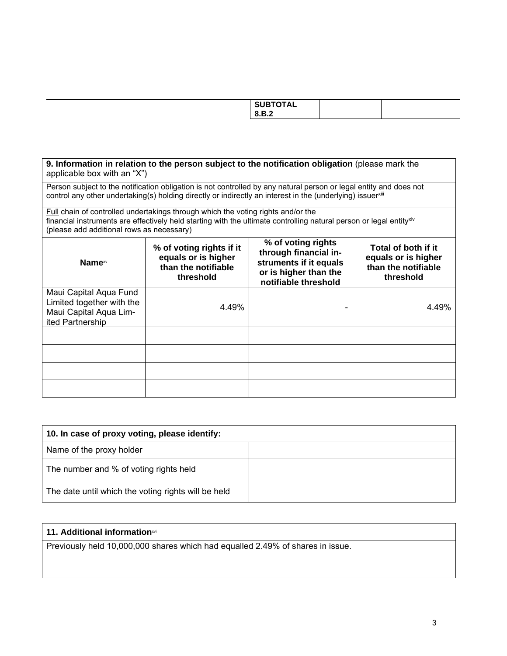|  | <b>SUBTOTAL</b><br>8.B.2 |  |  |
|--|--------------------------|--|--|
|--|--------------------------|--|--|

#### **9. Information in relation to the person subject to the notification obligation** (please mark the applicable box with an "X")

Person subject to the notification obligation is not controlled by any natural person or legal entity and does not control any other undertaking(s) holding directly or indirectly an interest in the (underlying) issuerxiii

Full chain of controlled undertakings through which the voting rights and/or the financial instruments are effectively held starting with the ultimate controlling natural person or legal entityxiv (please add additional rows as necessary)

| <b>Name</b> xv                                                                                    | % of voting rights if it<br>equals or is higher<br>than the notifiable<br>threshold | % of voting rights<br>through financial in-<br>struments if it equals<br>or is higher than the<br>notifiable threshold | Total of both if it<br>equals or is higher<br>than the notifiable<br>threshold |
|---------------------------------------------------------------------------------------------------|-------------------------------------------------------------------------------------|------------------------------------------------------------------------------------------------------------------------|--------------------------------------------------------------------------------|
| Maui Capital Aqua Fund<br>Limited together with the<br>Maui Capital Aqua Lim-<br>ited Partnership | 4.49%                                                                               |                                                                                                                        | 4.49%                                                                          |
|                                                                                                   |                                                                                     |                                                                                                                        |                                                                                |
|                                                                                                   |                                                                                     |                                                                                                                        |                                                                                |
|                                                                                                   |                                                                                     |                                                                                                                        |                                                                                |
|                                                                                                   |                                                                                     |                                                                                                                        |                                                                                |

| 10. In case of proxy voting, please identify:       |  |  |
|-----------------------------------------------------|--|--|
| Name of the proxy holder                            |  |  |
| The number and % of voting rights held              |  |  |
| The date until which the voting rights will be held |  |  |

#### **11. Additional information**xvi

Previously held 10,000,000 shares which had equalled 2.49% of shares in issue.